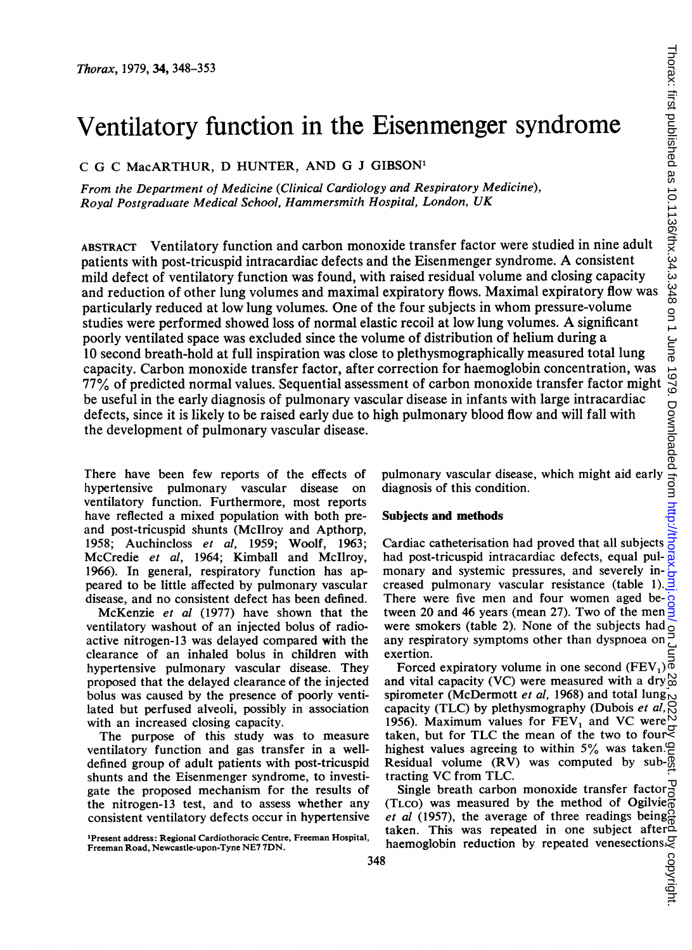# Ventilatory function in the Eisenmenger syndrome

C G C MacARTHUR, D HUNTER, AND G <sup>J</sup> GIBSON'

From the Department of Medicine (Clinical Cardiology and Respiratory Medicine), Royal Postgraduate Medical School, Hammersmith Hospital, London, UK

ABSTRACT Ventilatory function and carbon monoxide transfer factor were studied in nine adult patients with post-tricuspid intracardiac defects and the Eisenmenger syndrome. A consistent mild defect of ventilatory function was found, with raised residual volume and closing capacity and reduction of other lung volumes and maximal expiratory flows. Maximal expiratory flow was particularly reduced at low lung volumes. One of the four subjects in whom pressure-volume studies were performed showed loss of normal elastic recoil at low lung volumes. A significant poorly ventilated space was excluded since the volume of distribution of helium during a 10 second breath-hold at full inspiration was close to plethysmographically measured total lung capacity. Carbon monoxide transfer factor, after correction for haemoglobin concentration, was 77% of predicted normal values. Sequential assessment of carbon monoxide transfer factor might be useful in the early diagnosis of pulmonary vascular disease in infants with large intracardiac defects, since it is likely to be raised early due to high pulmonary blood flow and will fall with the development of pulmonary vascular disease. Fiscen menger syndrome<br>
masons in the summant of the summant of the state of the state of the state of the state of the state of the state of the state of the state of the state of the state of the state of the state of t

There have been few reports of the effects of hypertensive pulmonary vascular disease on ventilatory function. Furthermore, most reports have reflected a mixed population with both preand post-tricuspid shunts (Mcllroy and Apthorp, 1958; Auchincloss et al, 1959; Woolf, 1963; McCredie et al, 1964; Kimball and Mcllroy, 1966). In general, respiratory function has appeared to be little affected by pulmonary vascular disease, and no consistent defect has been defined.

McKenzie et al (1977) have shown that the ventilatory washout of an injected bolus of radioactive nitrogen-13 was delayed compared with the clearance of an inhaled bolus in children with hypertensive pulmonary vascular disease. They proposed that the delayed clearance of the injected bolus was caused by the presence of poorly ventilated but perfused alveoli, possibly in association with an increased closing capacity.

The purpose of this study was to measure ventilatory function and gas transfer in a welldefined group of adult patients with post-tricuspid shunts and the Eisenmenger syndrome, to investigate the proposed mechanism for the results of the nitrogen-13 test, and to assess whether any consistent ventilatory defects occur in hypertensive diagnosis of this condition.

#### Subjects and methods

Cardiac catheterisation had proved that all subjects had post-tricuspid intracardiac defects, equal pulmonary and systemic pressures, and severely increased pulmonary vascular resistance (table 1).  $\overline{3}$ There were five men and four women aged between 20 and 46 years (mean 27). Two of the men were smokers (table 2). None of the subjects had any respiratory symptoms other than dyspnoea on exertion.

Forced expiratory volume in one second (FEV,) $\vec{\phi}$ and vital capacity (VC) were measured with a dry $\stackrel{\text{N}}{\text{o}}$ spirometer (McDermott et al, 1968) and total lung<sub>N</sub> capacity (TLC) by plethysmography (Dubois et al, 1956). Maximum values for FEV, and VC were taken, but for TLC the mean of the two to four highest values agreeing to within  $5\%$  was taken. Residual volume (RV) was computed by sub- $\overline{Q}$ tracting VC from TLC.

Single breath carbon monoxide transfer factor (TLCO) was measured by the method of Ogilvie et al (1957), the average of three readings being. taken. This was repeated in one subject after taken. This was repeated in one subject and  $\frac{1}{2}$ <br>haemoglobin reduction by repeated venesections.

<sup>&#</sup>x27;Present address: Regional Cardiothoracic Centre, Freeman Hospital, Freeman Road, Newcastle-upon-Tyne NE7 7DN.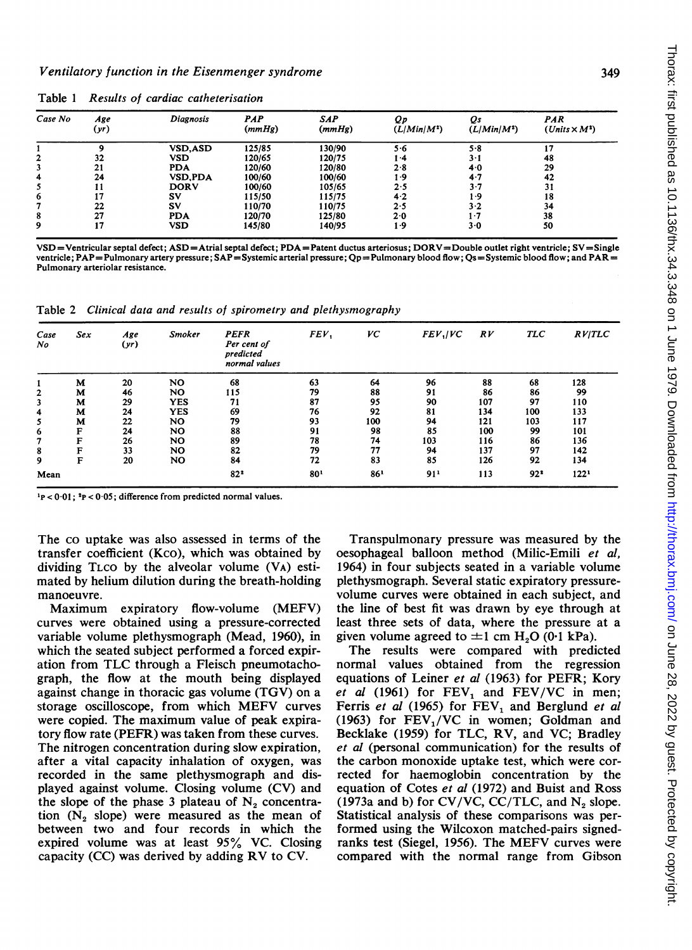| Case No | Age<br>(yr) | <b>Diagnosis</b> | <b>PAP</b><br>(mmHg) | <b>SAP</b><br>(mmHg) | Qр<br>$(L/Min/M^2)$ | Qs<br>$(L/Min/M^2)$ | PAR<br>$(Unix \times M^2)$ |
|---------|-------------|------------------|----------------------|----------------------|---------------------|---------------------|----------------------------|
|         | ۰           | <b>VSD, ASD</b>  | 125/85               | 130/90               | $5-6$               | 5.8                 | 17                         |
| 2       | 32          | VSD              | 120/65               | 120/75               | 1.4                 | $3 \cdot 1$         | 48                         |
| 3       | 21          | <b>PDA</b>       | 120/60               | 120/80               | 2.8                 | 4.0                 | 29                         |
| 4       | 24          | <b>VSD.PDA</b>   | 100/60               | 100/60               | 1.9                 | $4 - 7$             | 42                         |
| 5       | 11          | <b>DORV</b>      | 100/60               | 105/65               | 2.5                 | 3.7                 | 31                         |
| 6       | 17          | SV               | 115/50               | 115/75               | $4-2$               | l -9                | 18                         |
|         | 22          | SV               | 110/70               | 110/75               | 2.5                 | $3-2$               | 34                         |
| 8       | 27          | <b>PDA</b>       | 120/70               | 125/80               | 2.0                 | -7                  | 38                         |
| 9       | 17          | VSD              | 145/80               | 140/95               | 1.9                 | $3-0$               | 50                         |

Table <sup>1</sup> Results of cardiac catheterisation

VSD=Ventricular septal defect; ASD=Atrial septal defect; PDA=Patent ductus arteriosus; DORV=Double outlet right ventricle; SV=Single ventricle; PAP=Pulmonary artery pressure; SAP=Systemic arterial pressure; Qp=Pulmonary blood flow; Qs=Systemic blood flow; and PAR= Pulmonary arteriolar resistance.

Table 2 Clinical data and results of spirometry and plethysmography

| Case<br>No   | Sex | Age<br>(yr) | <b>Smoker</b> | <b>PEFR</b><br>Per cent of<br>predicted<br>normal values | FEV. | VC              | $FEV$ ./ $VC$   | RV  | <b>TLC</b> | RV/TLC           |
|--------------|-----|-------------|---------------|----------------------------------------------------------|------|-----------------|-----------------|-----|------------|------------------|
|              | M   | 20          | NO            | 68                                                       | 63   | 64              | 96              | 88  | 68         | 128              |
| $\mathbf{2}$ | M   | 46          | NO            | 115                                                      | 79   | 88              | 91              | 86  | 86         | 99               |
| 3            | M   | 29          | <b>YES</b>    | 71                                                       | 87   | 95              | 90              | 107 | 97         | 110              |
| 4            | м   | 24          | <b>YES</b>    | 69                                                       | 76   | 92              | 81              | 134 | 100        | 133              |
| 5            | М   | 22          | NO.           | 79                                                       | 93   | 100             | 94              | 121 | 103        | 117              |
| 6            | F   | 24          | <b>NO</b>     | 88                                                       | 91   | 98              | 85              | 100 | 99         | 101              |
| 7            | F   | 26          | <b>NO</b>     | 89                                                       | 78   | 74              | 103             | 116 | 86         | 136              |
| 8            | F   | 33          | <b>NO</b>     | 82                                                       | 79   | 77              | 94              | 137 | 97         | 142              |
| 9            | F   | 20          | NO            | 84                                                       | 72   | 83              | 85              | 126 | 92         | 134              |
| Mean         |     |             |               | $82^{2}$                                                 | 801  | 86 <sup>1</sup> | 91 <sup>1</sup> | 113 | $92*$      | 122 <sup>1</sup> |

 $1_P < 0.01$ ;  $2_P < 0.05$ ; difference from predicted normal values.

The co uptake was also assessed in terms of the transfer coefficient (Kco), which was obtained by dividing TLco by the alveolar volume (VA) estimated by helium dilution during the breath-holding manoeuvre.

Maximum expiratory flow-volume (MEFV) curves were obtained using a pressure-corrected variable volume plethysmograph (Mead, 1960), in which the seated subject performed a forced expiration from TLC through <sup>a</sup> Fleisch pneumotachograph, the flow at the mouth being displayed against change in thoracic gas volume (TGV) on a storage oscilloscope, from which MEFV curves were copied. The maximum value of peak expiratory flow rate (PEFR) was taken from these curves. The nitrogen concentration during slow expiration, after a vital capacity inhalation of oxygen, was recorded in the same plethysmograph and displayed against volume. Closing volume (CV) and the slope of the phase 3 plateau of  $N_2$  concentration  $(N_2)$  slope) were measured as the mean of between two and four records in which the expired volume was at least 95% VC. Closing capacity (CC) was derived by adding RV to CV.

Transpulmonary pressure was measured by the oesophageal balloon method (Milic-Emili et al, 1964) in four subjects seated in a variable volume plethysmograph. Several static expiratory pressurevolume curves were obtained in each subject, and the line of best fit was drawn by eye through at least three sets of data, where the pressure at a given volume agreed to  $\pm 1$  cm H<sub>2</sub>O (0.1 kPa).

The results were compared with predicted normal values obtained from the regression equations of Leiner et al (1963) for PEFR; Kory et al (1961) for  $FEV_1$  and  $FEV/VC$  in men; Ferris et al (1965) for  $FEV_1$  and Berglund et al (1963) for  $FEV<sub>1</sub>/VC$  in women; Goldman and Becklake (1959) for TLC, RV, and VC; Bradley et al (personal communication) for the results of the carbon monoxide uptake test, which were corrected for haemoglobin concentration by the equation of Cotes et al (1972) and Buist and Ross (1973a and b) for CV/VC, CC/TLC, and  $N_2$  slope. Statistical analysis of these comparisons was performed using the Wilcoxon matched-pairs signedranks test (Siegel, 1956). The MEFV curves were compared with the normal range from Gibson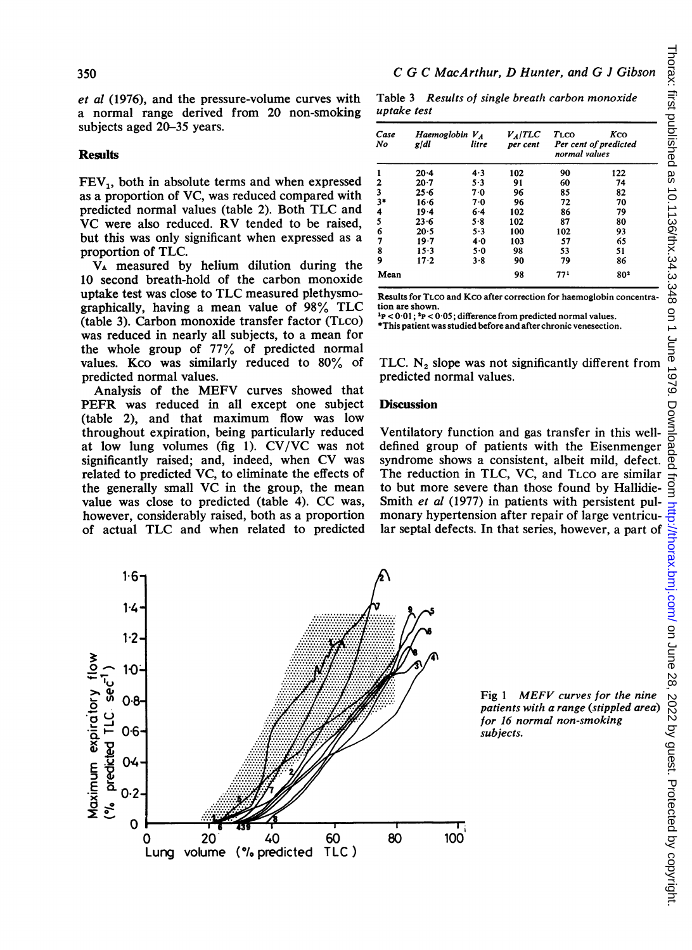et al (1976), and the pressure-volume curves with a normal range derived from 20 non-smoking subjects aged 20-35 years.

## Results

 $FEV<sub>1</sub>$ , both in absolute terms and when expressed as a proportion of VC, was reduced compared with predicted normal values (table 2). Both TLC and VC were also reduced. RV tended to be raised, but this was only significant when expressed as a proportion of TLC.

VA measured by helium dilution during the 10 second breath-hold of the carbon monoxide uptake test was close to TLC measured plethysmographically, having <sup>a</sup> mean value of 98% TLC (table 3). Carbon monoxide transfer factor (TLCO) was reduced in nearly all subjects, to a mean for the whole group of 77% of predicted normal values. Kco was similarly reduced to 80% of predicted normal values.

Analysis of the MEFV curves showed that PEFR was reduced in all except one subject (table 2), and that maximum flow was low throughout expiration, being particularly reduced at low lung volumes (fig 1). CV/VC was not significantly raised; and, indeed, when CV was related to predicted VC, to eliminate the effects of the generally small VC in the group, the mean value was close to predicted (table 4). CC was, however, considerably raised, both as a proportion of actual TLC and when related to predicted

Table 3 Results of single breath carbon monoxide uptake test

| Case<br>Haemoglobin $V_A$<br>$V_A/TLC$<br>Kco<br>TLCO<br>No<br>Per cent of predicted<br>gidl<br>litre<br>per cent<br>normal values<br>$\mathbf{1}$<br>4.3<br>90<br>122<br>$20 - 4$<br>102<br>$\overline{\mathbf{c}}$<br>5.3<br>60<br>$20 - 7$<br>91<br>74<br>3<br>25.6<br>85<br>70<br>96<br>82<br>3 <sup>1</sup><br>72<br>16.6<br>7.0<br>96<br>70<br>4<br>$19 - 4$<br>6.4<br>102<br>86<br>79<br>$\frac{5}{6}$<br>$23 - 6$<br>$5 - 8$<br>102<br>87<br>80<br>20.5<br>$5 - 3$<br>100<br>102<br>93<br>$\overline{7}$<br>19.7<br>4.0<br>103<br>57<br>65<br>8<br>$15 - 3$<br>5.0<br>98<br>53<br>51<br>9<br>79<br>$17 - 2$<br>3.8<br>90<br>86<br>Mean<br>98<br>771<br>802<br>Results for TLCO and KCO after correction for haemoglobin concentra-<br>tion are shown.<br>$P > 0.01$ ; $P > 0.05$ ; difference from predicted normal values.<br>*This patient was studied before and after chronic venesection.<br>TLC. $N_2$ slope was not significantly different from<br>predicted normal values. | uptake test |  | Table 3 Results of single breath carbon monoxide |  |
|---------------------------------------------------------------------------------------------------------------------------------------------------------------------------------------------------------------------------------------------------------------------------------------------------------------------------------------------------------------------------------------------------------------------------------------------------------------------------------------------------------------------------------------------------------------------------------------------------------------------------------------------------------------------------------------------------------------------------------------------------------------------------------------------------------------------------------------------------------------------------------------------------------------------------------------------------------------------------------------------|-------------|--|--------------------------------------------------|--|
|                                                                                                                                                                                                                                                                                                                                                                                                                                                                                                                                                                                                                                                                                                                                                                                                                                                                                                                                                                                             |             |  |                                                  |  |
|                                                                                                                                                                                                                                                                                                                                                                                                                                                                                                                                                                                                                                                                                                                                                                                                                                                                                                                                                                                             |             |  |                                                  |  |
|                                                                                                                                                                                                                                                                                                                                                                                                                                                                                                                                                                                                                                                                                                                                                                                                                                                                                                                                                                                             |             |  |                                                  |  |
|                                                                                                                                                                                                                                                                                                                                                                                                                                                                                                                                                                                                                                                                                                                                                                                                                                                                                                                                                                                             |             |  |                                                  |  |
|                                                                                                                                                                                                                                                                                                                                                                                                                                                                                                                                                                                                                                                                                                                                                                                                                                                                                                                                                                                             |             |  |                                                  |  |
|                                                                                                                                                                                                                                                                                                                                                                                                                                                                                                                                                                                                                                                                                                                                                                                                                                                                                                                                                                                             |             |  |                                                  |  |
|                                                                                                                                                                                                                                                                                                                                                                                                                                                                                                                                                                                                                                                                                                                                                                                                                                                                                                                                                                                             |             |  |                                                  |  |
|                                                                                                                                                                                                                                                                                                                                                                                                                                                                                                                                                                                                                                                                                                                                                                                                                                                                                                                                                                                             |             |  |                                                  |  |
|                                                                                                                                                                                                                                                                                                                                                                                                                                                                                                                                                                                                                                                                                                                                                                                                                                                                                                                                                                                             |             |  |                                                  |  |
|                                                                                                                                                                                                                                                                                                                                                                                                                                                                                                                                                                                                                                                                                                                                                                                                                                                                                                                                                                                             |             |  |                                                  |  |
|                                                                                                                                                                                                                                                                                                                                                                                                                                                                                                                                                                                                                                                                                                                                                                                                                                                                                                                                                                                             |             |  |                                                  |  |
|                                                                                                                                                                                                                                                                                                                                                                                                                                                                                                                                                                                                                                                                                                                                                                                                                                                                                                                                                                                             |             |  |                                                  |  |
|                                                                                                                                                                                                                                                                                                                                                                                                                                                                                                                                                                                                                                                                                                                                                                                                                                                                                                                                                                                             |             |  |                                                  |  |
|                                                                                                                                                                                                                                                                                                                                                                                                                                                                                                                                                                                                                                                                                                                                                                                                                                                                                                                                                                                             |             |  |                                                  |  |
| <b>Discussion</b>                                                                                                                                                                                                                                                                                                                                                                                                                                                                                                                                                                                                                                                                                                                                                                                                                                                                                                                                                                           |             |  |                                                  |  |

### **Discussion**

Ventilatory function and gas transfer in this welldefined group of patients with the Eisenmenger syndrome shows a consistent, albeit mild, defect. to but more severe than those found by Hallidie-Smith et al (1977) in patients with persistent pulmonary hypertension after repair of large ventricu-



Fig <sup>1</sup> MEFV curves for the nine patients with a range (stippled area) for 16 normal non-smoking subjects.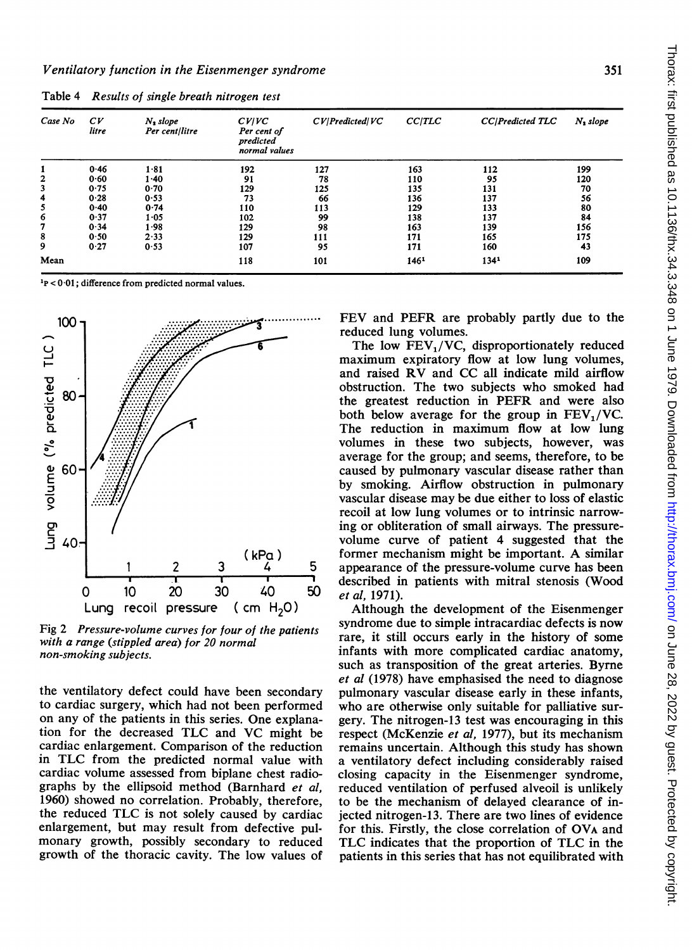| Case No      | C <sub>V</sub><br>litre | $N_2$ slope<br>Per cent/litre | CV/VC<br>Per cent of<br>predicted<br>normal values | CV Predicted VC | CCITLC | CC/Predicted TLC | $N_2$ slope |
|--------------|-------------------------|-------------------------------|----------------------------------------------------|-----------------|--------|------------------|-------------|
|              |                         |                               |                                                    |                 |        |                  |             |
|              | 0.46                    | 1.81                          | 192                                                | 127             | 163    | 112              | 199         |
| $\mathbf{2}$ | 0.60                    | 1.40                          | 91                                                 | 78              | 110    | 95               | 120         |
| 3            | 0.75                    | 0.70                          | 129                                                | 125             | 135    | 131              | 70          |
| 4            | 0.28                    | 0.53                          | 73                                                 | 66              | 136    | 137              | 56          |
| 5            | 0.40                    | 0.74                          | 110                                                | 113             | 129    | 133              | 80          |
| 6            | 0.37                    | 1.05                          | 102                                                | 99              | 138    | 137              | 84          |
| 7            | 0.34                    | 1.98                          | 129                                                | 98              | 163    | 139              | 156         |
| 8            | 0.50                    | 2.33                          | 129                                                | 111             | 171    | 165              | 175         |
| 9            | 0.27                    | 0.53                          | 107                                                | 95              | 171    | 160              | 43          |
| Mean         |                         |                               | 118                                                | 101             | 1461   | 1341             | 109         |

Table 4 Results of single breath nitrogen test

 $\frac{1}{2}P < 0.01$ ; difference from predicted normal values.



Fig 2 Pressure-volume curves for four of the patients with a range (stippled area) for 20 normal non-smoking subjects.

the ventilatory defect could have been secondary to cardiac surgery, which had not been performed on any of the patients in this series. One explanation for the decreased TLC and VC might be cardiac enlargement. Comparison of the reduction in TLC from the predicted normal value with cardiac volume assessed from biplane chest radiographs by the ellipsoid method (Barnhard et al, 1960) showed no correlation. Probably, therefore, the reduced TLC is not solely caused by cardiac enlargement, but may result from defective pulmonary growth, possibly secondary to reduced growth of the thoracic cavity. The low values of

FEV and PEFR are probably partly due to the reduced lung volumes.

The low  $FEV<sub>1</sub>/VC$ , disproportionately reduced maximum expiratory flow at low lung volumes, and raised RV and CC all indicate mild airflow obstruction. The two subjects who smoked had the greatest reduction in PEFR and were also both below average for the group in  $FEV<sub>1</sub>/VC$ . The reduction in maximum flow at low lung volumes in these two subjects, however, was average for the group; and seems, therefore, to be caused by pulmonary vascular disease rather than by smoking. Airflow obstruction in pulmonary vascular disease may be due either to loss of elastic recoil at low lung volumes or to intrinsic narrowing or obliteration of small airways. The pressurevolume curve of patient 4 suggested that the former mechanism might be important. A similar appearance of the pressure-volume curve has been described in patients with mitral stenosis (Wood et al, 1971).

Although the development of the Eisenmenger syndrome due to simple intracardiac defects is now rare, it still occurs early in the history of some infants with more complicated cardiac anatomy, such as transposition of the great arteries. Byrne et al (1978) have emphasised the need to diagnose pulmonary vascular disease early in these infants, who are otherwise only suitable for palliative surgery. The nitrogen-13 test was encouraging in this respect (McKenzie et al, 1977), but its mechanism remains uncertain. Although this study has shown a ventilatory defect including considerably raised closing capacity in the Eisenmenger syndrome, reduced ventilation of perfused alveoil is unlikely to be the mechanism of delayed clearance of injected nitrogen-13. There are two lines of evidence for this. Firstly, the close correlation of OVA and TLC indicates that the proportion of TLC in the patients in this series that has not equilibrated with

351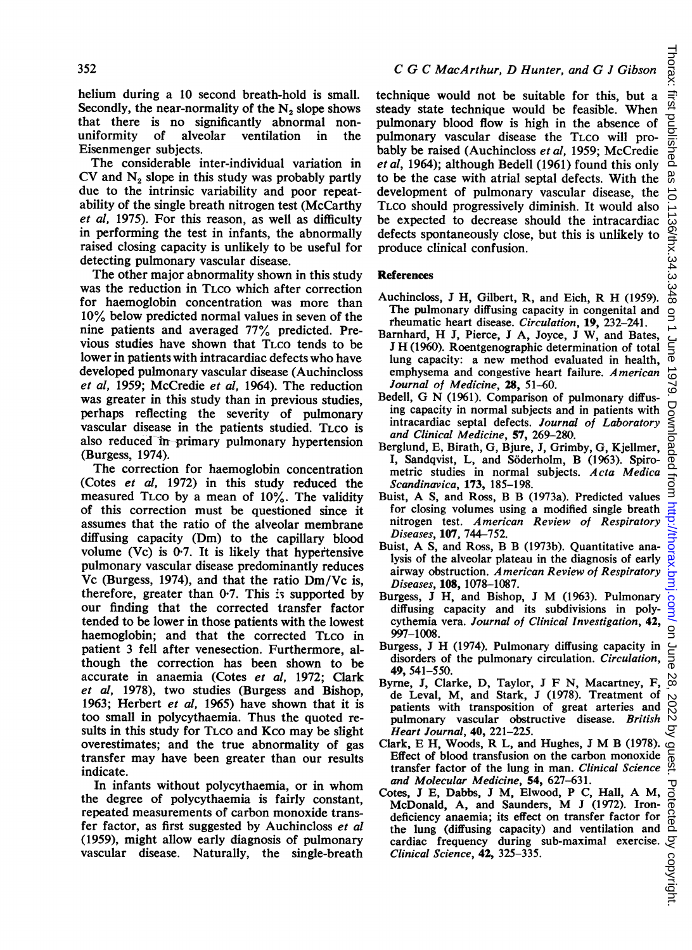helium during a 10 second breath-hold is small. Secondly, the near-normality of the  $N_2$  slope shows that there is no significantly abnormal nonuniformity of alveolar ventilation in the Eisenmenger subjects.

The considerable inter-individual variation in  $CV$  and  $N<sub>2</sub>$  slope in this study was probably partly due to the intrinsic variability and poor repeatability of the single breath nitrogen test (McCarthy et al, 1975). For this reason, as well as difficulty in performing the test in infants, the abnormally raised closing capacity is unlikely to be useful for detecting pulmonary vascular disease.

The other major abnormality shown in this study was the reduction in TLCO which after correction for haemoglobin concentration was more than 10% below predicted normal values in seven of the nine patients and averaged 77% predicted. Previous studies have shown that TLCO tends to be lower in patients with intracardiac defects who have developed pulmonary vascular disease (Auchincloss et al, 1959; McCredie et al, 1964). The reduction was greater in this study than in previous studies, perhaps reflecting the severity of pulmonary vascular disease in the patients studied. TLCO is also reduced in-primary pulmonary hypertension (Burgess, 1974).

The correction for haemoglobin concentration (Cotes et al, 1972) in this study reduced the measured TLco by a mean of 10%. The validity of this correction must be questioned since it assumes that the ratio of the alveolar membrane diffusing capacity (Dm) to the capillary blood volume  $(Vc)$  is 0.7. It is likely that hypertensive pulmonary vascular disease predominantly reduces Vc (Burgess, 1974), and that the ratio Dm/Vc is, therefore, greater than  $0.7$ . This is supported by our finding that the corrected transfer factor tended to be lower in those patients with the lowest haemoglobin; and that the corrected TLCO in patient 3 fell after venesection. Furthermore, although the correction has been shown to be accurate in anaemia (Cotes et al, 1972; Clark et al, 1978), two studies (Burgess and Bishop, 1963: Herbert et al, 1965) have shown that it is too small in polycythaemia. Thus the quoted results in this study for TLco and Kco may be slight overestimates; and the true abnormality of gas transfer may have been greater than our results indicate.

In infants without polycythaemia, or in whom the degree of polycythaemia is fairly constant, repeated measurements of carbon monoxide transfer factor, as first suggested by Auchincloss et al (1959), might allow early diagnosis of pulmonary vascular disease. Naturally, the single-breath

technique would not be suitable for this, but a steady state technique would be feasible. When pulmonary blood flow is high in the absence of pulmonary vascular disease the TLCO will probably be raised (Auchincloss et al, 1959; McCredie et al, 1964); although Bedell (1961) found this only to be the case with atrial septal defects. With the development of pulmonary vascular disease, the TLCO should progressively diminish. It would also be expected to decrease should the intracardiac defects spontaneously close, but this is unlikely to produce clinical confusion.

#### **References**

- Auchincloss, <sup>J</sup> H, Gilbert, R, and Eich, R H (1959). The pulmonary diffusing capacity in congenital and rheumatic heart disease. Circulation, 19, 232-241.
- Barnhard, H J, Pierce, <sup>J</sup> A, Joyce, <sup>J</sup> W, and Bates, <sup>J</sup> H (1960). Roentgenographic determination of total lung capacity: a new method evaluated in health, emphysema and congestive heart failure. American Journal of Medicine, 28, 51-60.
- Bedell, G N (1961). Comparison of pulmonary diffusing capacity in normal subjects and in patients with intracardiac septal defects. Journal of Laboratory and Clinical Medicine, 57, 269-280.
- Berglund, E, Birath, G, Bjure, J, Grimby, G, Kjellmer, I, Sandqvist, L, and Söderholm, B (1963). Spirometric studies in normal subjects. Acta Medica Scandinavica, 173, 185-198.
- Buist, A S, and Ross, B B (1973a). Predicted values for closing volumes using a modified single breath nitrogen test. American Review of Respiratory Diseases, 107, 744-752.
- Buist, A S, and Ross, B B (1973b). Quantitative analysis of the alveolar plateau in the diagnosis of early airway obstruction. American Review of Respiratory Diseases, 108, 1078-1087.
- Burgess, <sup>J</sup> H, and Bishop, <sup>J</sup> M (1963). Pulmonary diffusing capacity and its subdivisions in polycythemia vera. Journal of Clinical Investigation, 42, 997-1008.
- Burgess, <sup>J</sup> H (1974). Pulmonary diffusing capacity in disorders of the pulmonary circulation. Circulation, 49, 541-550.
- Byrne, J, Clarke, D, Taylor, <sup>J</sup> F N, Macartney, F, de Leval, M, and Stark, J (1978). Treatment of patients with transposition of great arteries and pulmonary vascular obstructive disease. British Heart Journal, 40, 221-225.
- Clark, E H, Woods, R L, and Hughes, <sup>J</sup> M <sup>B</sup> (1978). Effect of blood transfusion on the carbon monoxide transfer factor of the lung in man. Clinical Science and Molecular Medicine, 54, 627-631.
- Cotes, <sup>J</sup> E, Dabbs, <sup>J</sup> M, Elwood, P C, Hall, A M, McDonald, A, and Saunders, M <sup>J</sup> (1972). Irondeficiency anaemia; its effect on transfer factor for the lung (diffusing capacity) and ventilation and cardiac frequency during sub-maximal exercise. Clinical Science, 42, 325-335.